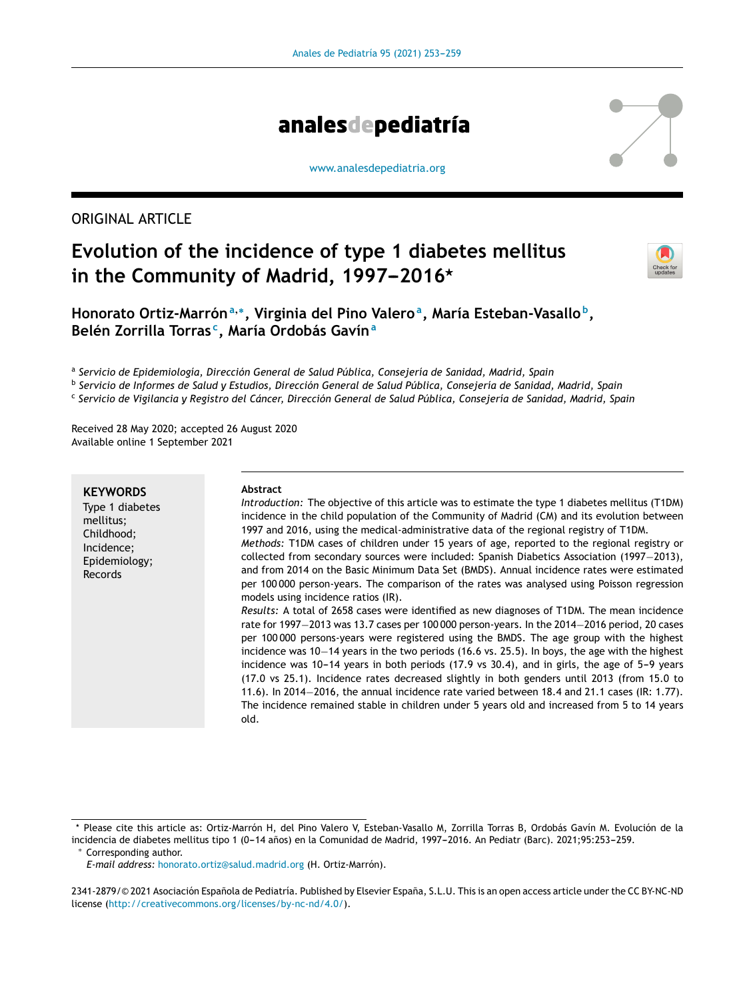

[www.analesdepediatria.org](http://www.analesdepediatria.org)

## ORIGINAL ARTICLE

# **Evolution of the incidence of type 1 diabetes mellitus** in the Community of Madrid, 1997-2016<sup>\*</sup>

| Check for<br>updates |
|----------------------|

**Honorato Ortiz-Marrón<sup>a</sup>**,<sup>∗</sup> **, Virginia del Pino Valero<sup>a</sup> , María Esteban-Vasallo <sup>b</sup> , Belén Zorrilla Torras <sup>c</sup> , María Ordobás Gavín<sup>a</sup>**

a *Servicio de Epidemiología, Dirección General de Salud Pública, Consejería de Sanidad, Madrid, Spain*

<sup>b</sup> Servicio de Informes de Salud y Estudios, Dirección General de Salud Pública, Consejería de Sanidad, Madrid, Spain

<sup>c</sup> Servicio de Vigilancia y Registro del Cáncer, Dirección General de Salud Pública, Consejería de Sanidad, Madrid, Spain

Received 28 May 2020; accepted 26 August 2020 Available online 1 September 2021

#### **KEYWORDS**

Type 1 diabetes mellitus; Childhood; Incidence; Epidemiology; Records

#### **Abstract**

*Introduction:* The objective of this article was to estimate the type 1 diabetes mellitus (T1DM) incidence in the child population of the Community of Madrid (CM) and its evolution between 1997 and 2016, using the medical-administrative data of the regional registry of T1DM.

*Methods:* T1DM cases of children under 15 years of age, reported to the regional registry or collected from secondary sources were included: Spanish Diabetics Association (1997−2013), and from 2014 on the Basic Minimum Data Set (BMDS). Annual incidence rates were estimated per 100 000 person-years. The comparison of the rates was analysed using Poisson regression models using incidence ratios (IR).

*Results:* A total of 2658 cases were identified as new diagnoses of T1DM. The mean incidence rate for 1997−2013 was 13.7 cases per 100 000 person-years. In the 2014−2016 period, 20 cases per 100 000 persons-years were registered using the BMDS. The age group with the highest incidence was 10−14 years in the two periods (16.6 vs. 25.5). In boys, the age with the highest incidence was  $10-14$  years in both periods (17.9 vs 30.4), and in girls, the age of  $5-9$  years (17.0 vs 25.1). Incidence rates decreased slightly in both genders until 2013 (from 15.0 to 11.6). In 2014−2016, the annual incidence rate varied between 18.4 and 21.1 cases (IR: 1.77). The incidence remained stable in children under 5 years old and increased from 5 to 14 years old.

Corresponding author.

Please cite this article as: Ortiz-Marrón H, del Pino Valero V, Esteban-Vasallo M, Zorrilla Torras B, Ordobás Gavín M. Evolución de la incidencia de diabetes mellitus tipo 1 (0-14 años) en la Comunidad de Madrid, 1997-2016. An Pediatr (Barc). 2021;95:253-259.

*E-mail address:* [honorato.ortiz@salud.madrid.org](mailto:honorato.ortiz@salud.madrid.org) (H. Ortiz-Marrón).

<sup>2341-2879/© 2021</sup> Asociación Española de Pediatría. Published by Elsevier España, S.L.U. This is an open access article under the CC BY-NC-ND license (<http://creativecommons.org/licenses/by-nc-nd/4.0/>).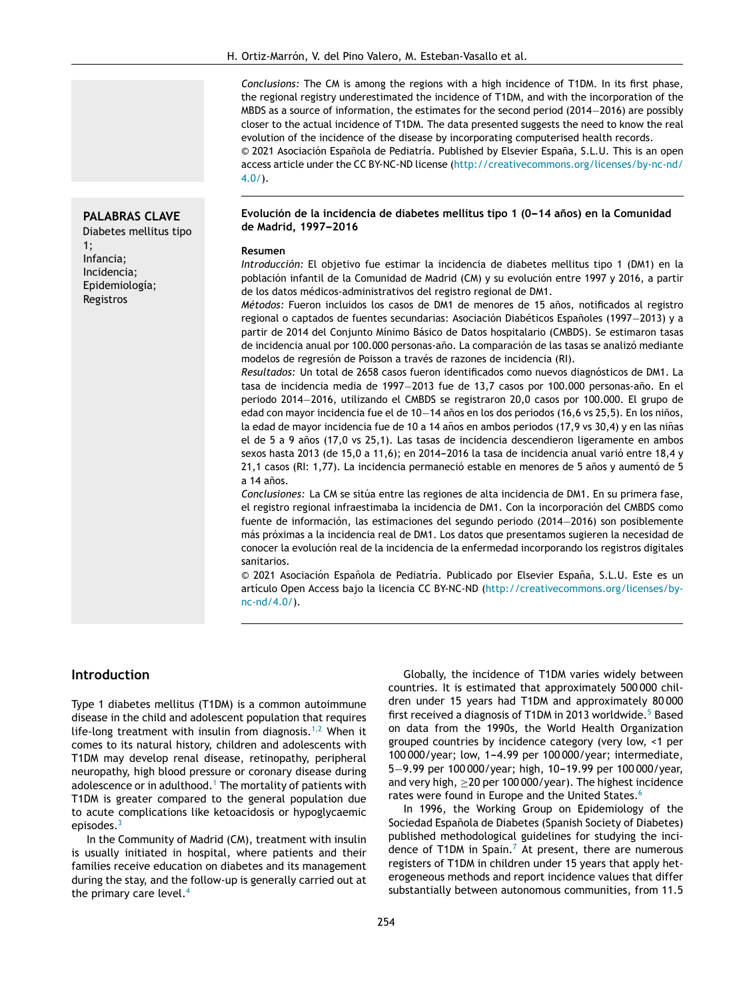*Conclusions:* The CM is among the regions with a high incidence of T1DM. In its first phase, the regional registry underestimated the incidence of T1DM, and with the incorporation of the MBDS as a source of information, the estimates for the second period (2014−2016) are possibly closer to the actual incidence of T1DM. The data presented suggests the need to know the real evolution of the incidence of the disease by incorporating computerised health records. © 2021 Asociación Española de Pediatría. Published by Elsevier España, S.L.U. This is an open access article under the CC BY-NC-ND license ([http://creativecommons.org/licenses/by-nc-nd/](http://creativecommons.org/licenses/by-nc-nd/4.0/)  $4.0/$ ).

#### **PALABRAS CLAVE**

Diabetes mellitus tipo 1; Infancia; Incidencia; Epidemiología; Registros

#### **Evolución de la incidencia de diabetes mellitus tipo 1 (0---14 anos) ˜ en la Comunidad**  $de$  **Madrid, 1997-2016**

#### **Resumen**

*Introducción:* El objetivo fue estimar la incidencia de diabetes mellitus tipo 1 (DM1) en la población infantil de la Comunidad de Madrid (CM) y su evolución entre 1997 y 2016, a partir de los datos médicos-administrativos del registro regional de DM1.

*Métodos:* Fueron incluidos los casos de DM1 de menores de 15 años, notificados al registro regional o captados de fuentes secundarias: Asociación Diabéticos Españoles (1997–2013) y a partir de 2014 del Conjunto Mínimo Básico de Datos hospitalario (CMBDS). Se estimaron tasas de incidencia anual por 100.000 personas-año. La comparación de las tasas se analizó mediante modelos de regresión de Poisson a través de razones de incidencia (RI).

*Resultados:* Un total de 2658 casos fueron identificados como nuevos diagnósticos de DM1. La tasa de incidencia media de 1997−2013 fue de 13,7 casos por 100.000 personas-ano. ˜ En el periodo 2014−2016, utilizando el CMBDS se registraron 20,0 casos por 100.000. El grupo de edad con mayor incidencia fue el de 10−14 años en los dos periodos (16,6 vs 25,5). En los niños, la edad de mayor incidencia fue de 10 a 14 años en ambos periodos (17,9 vs 30,4) y en las niñas el de 5 a 9 años (17,0 vs 25,1). Las tasas de incidencia descendieron ligeramente en ambos sexos hasta 2013 (de 15,0 a 11,6); en 2014-2016 la tasa de incidencia anual varió entre 18,4 y 21,1 casos (RI: 1,77). La incidencia permaneció estable en menores de 5 años y aumentó de 5  $a$  14  $a$ ños.

*Conclusiones:* La CM se sitúa entre las regiones de alta incidencia de DM1. En su primera fase, el registro regional infraestimaba la incidencia de DM1. Con la incorporación del CMBDS como fuente de información, las estimaciones del segundo periodo (2014−2016) son posiblemente más próximas a la incidencia real de DM1. Los datos que presentamos sugieren la necesidad de conocer la evolución real de la incidencia de la enfermedad incorporando los registros digitales sanitarios.

© 2021 Asociación Española de Pediatría. Publicado por Elsevier España, S.L.U. Este es un artículo Open Access bajo la licencia CC BY-NC-ND [\(http://creativecommons.org/licenses/by](http://creativecommons.org/licenses/by-nc-nd/4.0/)[nc-nd/4.0/](http://creativecommons.org/licenses/by-nc-nd/4.0/)).

## **Introduction**

Type 1 diabetes mellitus (T1DM) is a common autoimmune disease in the child and adolescent population that requires life-long treatment with insulin from diagnosis.<sup>[1,2](#page-6-0)</sup> When it comes to its natural history, children and adolescents with T1DM may develop renal disease, retinopathy, peripheral neuropathy, high blood pressure or coronary disease during adolescence or in adulthood.<sup>1</sup> [T](#page-6-0)he mortality of patients with T1DM is greater compared to the general population due to acute complications like ketoacidosis or hypoglycaemic episodes.<sup>[3](#page-6-0)</sup>

In the Community of Madrid (CM), treatment with insulin is usually initiated in hospital, where patients and their families receive education on diabetes and its management during the stay, and the follow-up is generally carried out at the primary care level.<sup>[4](#page-6-0)</sup>

Globally, the incidence of T1DM varies widely between countries. It is estimated that approximately 500 000 children under 15 years had T1DM and approximately 80 000 first received a diagnosis of T1DM in 2013 worldwide.<sup>5</sup> [B](#page-6-0)ased on data from the 1990s, the World Health Organization grouped countries by incidence category (very low, <1 per 100 000/year; low, 1-4.99 per 100 000/year; intermediate, 5−9.99 per 100 000/year; high, 10-19.99 per 100 000/year, and very high, ≥20 per 100 000/year). The highest incidence rates were found in Europe and the United States.<sup>[6](#page-6-0)</sup>

In 1996, the Working Group on Epidemiology of the Sociedad Española de Diabetes (Spanish Society of Diabetes) published methodological guidelines for studying the inci-dence of T1DM in Spain.<sup>[7](#page-6-0)</sup> At present, there are numerous registers of T1DM in children under 15 years that apply heterogeneous methods and report incidence values that differ substantially between autonomous communities, from 11.5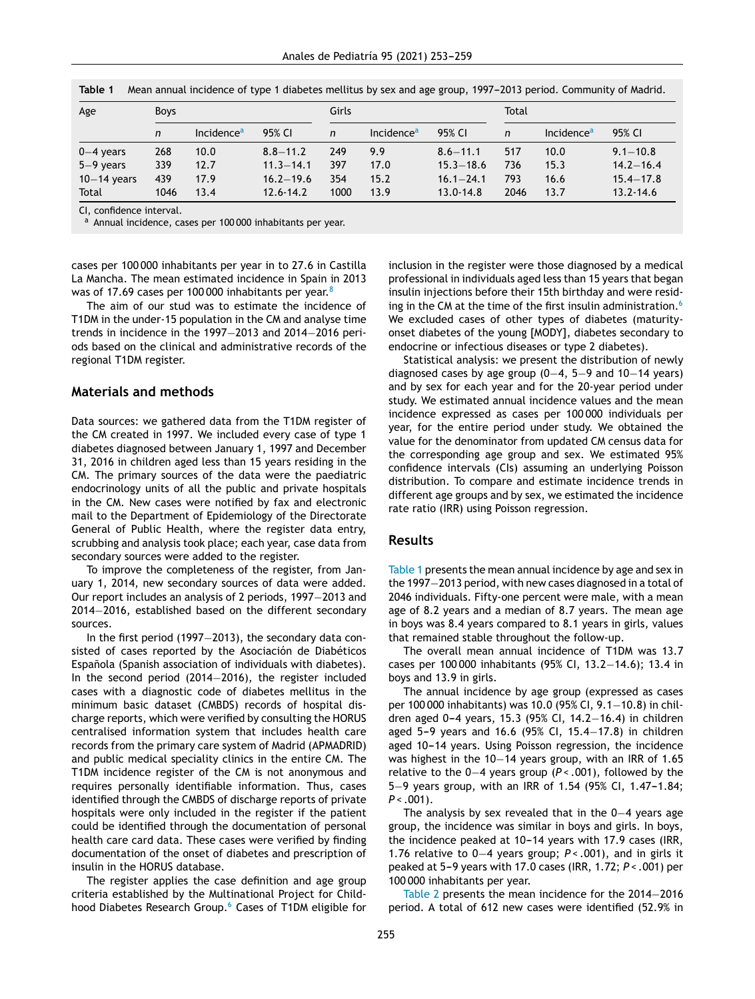| Age           | <b>Boys</b> |                        |               | Girls        |                        |               | Total |                        |               |  |
|---------------|-------------|------------------------|---------------|--------------|------------------------|---------------|-------|------------------------|---------------|--|
|               | n           | Incidence <sup>a</sup> | 95% CI        | $\mathsf{n}$ | Incidence <sup>a</sup> | 95% CI        | n     | Incidence <sup>a</sup> | 95% CI        |  |
| $0-4$ years   | 268         | 10.0                   | $8.8 - 11.2$  | 249          | 9.9                    | $8.6 - 11.1$  | 517   | 10.0                   | $9.1 - 10.8$  |  |
| $5-9$ years   | 339         | 12.7                   | $11.3 - 14.1$ | 397          | 17.0                   | $15.3 - 18.6$ | 736   | 15.3                   | $14.2 - 16.4$ |  |
| $10-14$ years | 439         | 17.9                   | $16.2 - 19.6$ | 354          | 15.2                   | $16.1 - 24.1$ | 793   | 16.6                   | $15.4 - 17.8$ |  |
| Total         | 1046        | 13.4                   | $12.6 - 14.2$ | 1000         | 13.9                   | $13.0 - 14.8$ | 2046  | 13.7                   | $13.2 - 14.6$ |  |

**Table 1** Mean annual incidence of type 1 diabetes mellitus by sex and age group, 1997–2013 period. Community of Madrid.

CI, confidence interval.

<sup>a</sup> Annual incidence, cases per 100 000 inhabitants per year.

cases per 100 000 inhabitants per year in to 27.6 in Castilla La Mancha. The mean estimated incidence in Spain in 2013 was of 17.69 cases per 100 000 inhabitants per year.<sup>[8](#page-6-0)</sup>

The aim of our stud was to estimate the incidence of T1DM in the under-15 population in the CM and analyse time trends in incidence in the 1997−2013 and 2014−2016 periods based on the clinical and administrative records of the regional T1DM register.

### **Materials and methods**

Data sources: we gathered data from the T1DM register of the CM created in 1997. We included every case of type 1 diabetes diagnosed between January 1, 1997 and December 31, 2016 in children aged less than 15 years residing in the CM. The primary sources of the data were the paediatric endocrinology units of all the public and private hospitals in the CM. New cases were notified by fax and electronic mail to the Department of Epidemiology of the Directorate General of Public Health, where the register data entry, scrubbing and analysis took place; each year, case data from secondary sources were added to the register.

To improve the completeness of the register, from January 1, 2014, new secondary sources of data were added. Our report includes an analysis of 2 periods, 1997−2013 and 2014−2016, established based on the different secondary sources.

In the first period (1997−2013), the secondary data consisted of cases reported by the Asociación de Diabéticos Española (Spanish association of individuals with diabetes). In the second period (2014−2016), the register included cases with a diagnostic code of diabetes mellitus in the minimum basic dataset (CMBDS) records of hospital discharge reports, which were verified by consulting the HORUS centralised information system that includes health care records from the primary care system of Madrid (APMADRID) and public medical speciality clinics in the entire CM. The T1DM incidence register of the CM is not anonymous and requires personally identifiable information. Thus, cases identified through the CMBDS of discharge reports of private hospitals were only included in the register if the patient could be identified through the documentation of personal health care card data. These cases were verified by finding documentation of the onset of diabetes and prescription of insulin in the HORUS database.

The register applies the case definition and age group criteria established by the Multinational Project for Child-hood Diabetes Research Group.<sup>[6](#page-6-0)</sup> Cases of T1DM eligible for

inclusion in the register were those diagnosed by a medical professional in individuals aged less than 15 years that began insulin injections before their 15th birthday and were resid-ing in the CM at the time of the first insulin administration.<sup>[6](#page-6-0)</sup> We excluded cases of other types of diabetes (maturityonset diabetes of the young [MODY], diabetes secondary to endocrine or infectious diseases or type 2 diabetes).

Statistical analysis: we present the distribution of newly diagnosed cases by age group (0−4, 5−9 and 10−14 years) and by sex for each year and for the 20-year period under study. We estimated annual incidence values and the mean incidence expressed as cases per 100 000 individuals per year, for the entire period under study. We obtained the value for the denominator from updated CM census data for the corresponding age group and sex. We estimated 95% confidence intervals (CIs) assuming an underlying Poisson distribution. To compare and estimate incidence trends in different age groups and by sex, we estimated the incidence rate ratio (IRR) using Poisson regression.

### **Results**

Table 1 presents the mean annual incidence by age and sex in the 1997−2013 period, with new cases diagnosed in a total of 2046 individuals. Fifty-one percent were male, with a mean age of 8.2 years and a median of 8.7 years. The mean age in boys was 8.4 years compared to 8.1 years in girls, values that remained stable throughout the follow-up.

The overall mean annual incidence of T1DM was 13.7 cases per 100 000 inhabitants (95% CI, 13.2−14.6); 13.4 in boys and 13.9 in girls.

The annual incidence by age group (expressed as cases per 100 000 inhabitants) was 10.0 (95% CI, 9.1−10.8) in children aged 0-4 years, 15.3 (95% CI, 14.2-16.4) in children aged 5-9 years and 16.6 (95% CI, 15.4-17.8) in children aged 10-14 years. Using Poisson regression, the incidence was highest in the 10−14 years group, with an IRR of 1.65 relative to the 0−4 years group (*P < .*001), followed by the 5−9 years group, with an IRR of 1.54 (95% CI, 1.47-1.84; *P < .*001).

The analysis by sex revealed that in the 0−4 years age group, the incidence was similar in boys and girls. In boys, the incidence peaked at  $10-14$  years with 17.9 cases (IRR, 1.76 relative to 0−4 years group; *P < .*001), and in girls it peaked at 5---9 years with 17.0 cases (IRR, 1.72; *P < .*001) per 100 000 inhabitants per year.

[Table](#page-3-0) 2 presents the mean incidence for the 2014−2016 period. A total of 612 new cases were identified (52.9% in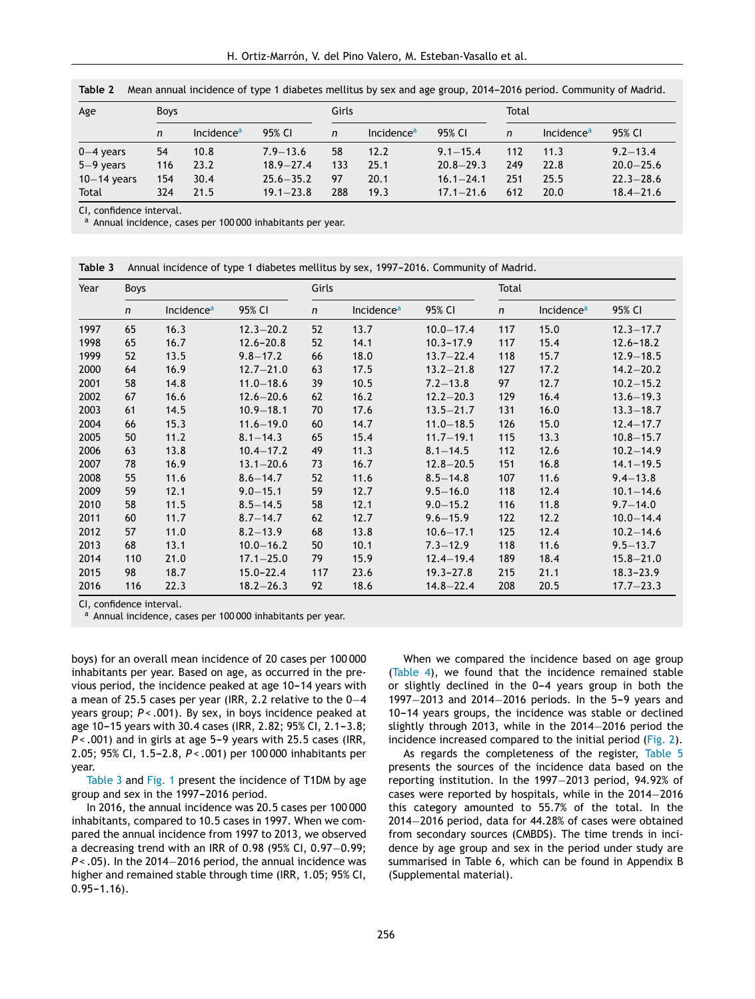| Age           | <b>Boys</b> |                        |               | Girls        |                        |               | Total |                        |               |
|---------------|-------------|------------------------|---------------|--------------|------------------------|---------------|-------|------------------------|---------------|
|               | n           | Incidence <sup>a</sup> | 95% CI        | $\mathsf{n}$ | Incidence <sup>a</sup> | 95% CI        | n     | Incidence <sup>a</sup> | 95% CI        |
| $0-4$ years   | 54          | 10.8                   | $7.9 - 13.6$  | 58           | 12.2                   | $9.1 - 15.4$  | 112   | 11.3                   | $9.2 - 13.4$  |
| $5-9$ years   | 116         | 23.2                   | $18.9 - 27.4$ | 133          | 25.1                   | $20.8 - 29.3$ | 249   | 22.8                   | $20.0 - 25.6$ |
| $10-14$ years | 154         | 30.4                   | $25.6 - 35.2$ | 97           | 20.1                   | $16.1 - 24.1$ | 251   | 25.5                   | $22.3 - 28.6$ |
| Total         | 324         | 21.5                   | $19.1 - 23.8$ | 288          | 19.3                   | $17.1 - 21.6$ | 612   | 20.0                   | $18.4 - 21.6$ |

<span id="page-3-0"></span>**Table 2** Mean annual incidence of type 1 diabetes mellitus by sex and age group, 2014–2016 period. Community of Madrid.

CI, confidence interval.

<sup>a</sup> Annual incidence, cases per 100 000 inhabitants per year.

| Annual incidence of type 1 diabetes mellitus by sex, 1997-2016. Community of Madrid. | Table 3 |  |  |  |  |
|--------------------------------------------------------------------------------------|---------|--|--|--|--|
|--------------------------------------------------------------------------------------|---------|--|--|--|--|

| Year | <b>Boys</b>  |                        |               | Girls        |                        |               | Total        |                        |               |
|------|--------------|------------------------|---------------|--------------|------------------------|---------------|--------------|------------------------|---------------|
|      | $\mathsf{n}$ | Incidence <sup>a</sup> | 95% CI        | $\mathsf{n}$ | Incidence <sup>a</sup> | 95% CI        | $\mathsf{n}$ | Incidence <sup>a</sup> | 95% CI        |
| 1997 | 65           | 16.3                   | $12.3 - 20.2$ | 52           | 13.7                   | $10.0 - 17.4$ | 117          | 15.0                   | $12.3 - 17.7$ |
| 1998 | 65           | 16.7                   | $12.6 - 20.8$ | 52           | 14.1                   | $10.3 - 17.9$ | 117          | 15.4                   | $12.6 - 18.2$ |
| 1999 | 52           | 13.5                   | $9.8 - 17.2$  | 66           | 18.0                   | $13.7 - 22.4$ | 118          | 15.7                   | $12.9 - 18.5$ |
| 2000 | 64           | 16.9                   | $12.7 - 21.0$ | 63           | 17.5                   | $13.2 - 21.8$ | 127          | 17.2                   | $14.2 - 20.2$ |
| 2001 | 58           | 14.8                   | $11.0 - 18.6$ | 39           | 10.5                   | $7.2 - 13.8$  | 97           | 12.7                   | $10.2 - 15.2$ |
| 2002 | 67           | 16.6                   | $12.6 - 20.6$ | 62           | 16.2                   | $12.2 - 20.3$ | 129          | 16.4                   | $13.6 - 19.3$ |
| 2003 | 61           | 14.5                   | $10.9 - 18.1$ | 70           | 17.6                   | $13.5 - 21.7$ | 131          | 16.0                   | $13.3 - 18.7$ |
| 2004 | 66           | 15.3                   | $11.6 - 19.0$ | 60           | 14.7                   | $11.0 - 18.5$ | 126          | 15.0                   | $12.4 - 17.7$ |
| 2005 | 50           | 11.2                   | $8.1 - 14.3$  | 65           | 15.4                   | $11.7 - 19.1$ | 115          | 13.3                   | $10.8 - 15.7$ |
| 2006 | 63           | 13.8                   | $10.4 - 17.2$ | 49           | 11.3                   | $8.1 - 14.5$  | 112          | 12.6                   | $10.2 - 14.9$ |
| 2007 | 78           | 16.9                   | $13.1 - 20.6$ | 73           | 16.7                   | $12.8 - 20.5$ | 151          | 16.8                   | $14.1 - 19.5$ |
| 2008 | 55           | 11.6                   | $8.6 - 14.7$  | 52           | 11.6                   | $8.5 - 14.8$  | 107          | 11.6                   | $9.4 - 13.8$  |
| 2009 | 59           | 12.1                   | $9.0 - 15.1$  | 59           | 12.7                   | $9.5 - 16.0$  | 118          | 12.4                   | $10.1 - 14.6$ |
| 2010 | 58           | 11.5                   | $8.5 - 14.5$  | 58           | 12.1                   | $9.0 - 15.2$  | 116          | 11.8                   | $9.7 - 14.0$  |
| 2011 | 60           | 11.7                   | $8.7 - 14.7$  | 62           | 12.7                   | $9.6 - 15.9$  | 122          | 12.2                   | $10.0 - 14.4$ |
| 2012 | 57           | 11.0                   | $8.2 - 13.9$  | 68           | 13.8                   | $10.6 - 17.1$ | 125          | 12.4                   | $10.2 - 14.6$ |
| 2013 | 68           | 13.1                   | $10.0 - 16.2$ | 50           | 10.1                   | $7.3 - 12.9$  | 118          | 11.6                   | $9.5 - 13.7$  |
| 2014 | 110          | 21.0                   | $17.1 - 25.0$ | 79           | 15.9                   | $12.4 - 19.4$ | 189          | 18.4                   | $15.8 - 21.0$ |
| 2015 | 98           | 18.7                   | $15.0 - 22.4$ | 117          | 23.6                   | $19.3 - 27.8$ | 215          | 21.1                   | $18.3 - 23.9$ |
| 2016 | 116          | 22.3                   | $18.2 - 26.3$ | 92           | 18.6                   | $14.8 - 22.4$ | 208          | 20.5                   | $17.7 - 23.3$ |

CI, confidence interval.

<sup>a</sup> Annual incidence, cases per 100 000 inhabitants per year.

boys) for an overall mean incidence of 20 cases per 100 000 inhabitants per year. Based on age, as occurred in the previous period, the incidence peaked at age 10-14 years with a mean of 25.5 cases per year (IRR, 2.2 relative to the 0−4 years group; *P < .*001). By sex, in boys incidence peaked at age 10-15 years with 30.4 cases (IRR, 2.82; 95% CI, 2.1-3.8; *P* <  $.001$ ) and in girls at age 5-9 years with 25.5 cases (IRR, 2.05; 95% CI, 1.5-2.8,  $P < .001$ ) per 100 000 inhabitants per year.

Table 3 and [Fig.](#page-4-0) 1 present the incidence of T1DM by age group and sex in the 1997-2016 period.

In 2016, the annual incidence was 20.5 cases per 100 000 inhabitants, compared to 10.5 cases in 1997. When we compared the annual incidence from 1997 to 2013, we observed a decreasing trend with an IRR of 0.98 (95% CI, 0.97−0.99; *P* <  $.05$ ). In the 2014–2016 period, the annual incidence was higher and remained stable through time (IRR, 1.05; 95% CI,  $0.95 - 1.16$ .

When we compared the incidence based on age group ([Table](#page-4-0) 4), we found that the incidence remained stable or slightly declined in the  $0-4$  years group in both the 1997−2013 and 2014−2016 periods. In the 5-9 years and 10-14 years groups, the incidence was stable or declined slightly through 2013, while in the 2014−2016 period the incidence increased compared to the initial period [\(Fig.](#page-5-0) 2).

As regards the completeness of the register, [Table](#page-4-0) 5 presents the sources of the incidence data based on the reporting institution. In the 1997−2013 period, 94.92% of cases were reported by hospitals, while in the 2014−2016 this category amounted to 55.7% of the total. In the 2014−2016 period, data for 44.28% of cases were obtained from secondary sources (CMBDS). The time trends in incidence by age group and sex in the period under study are summarised in Table 6, which can be found in Appendix B (Supplemental material).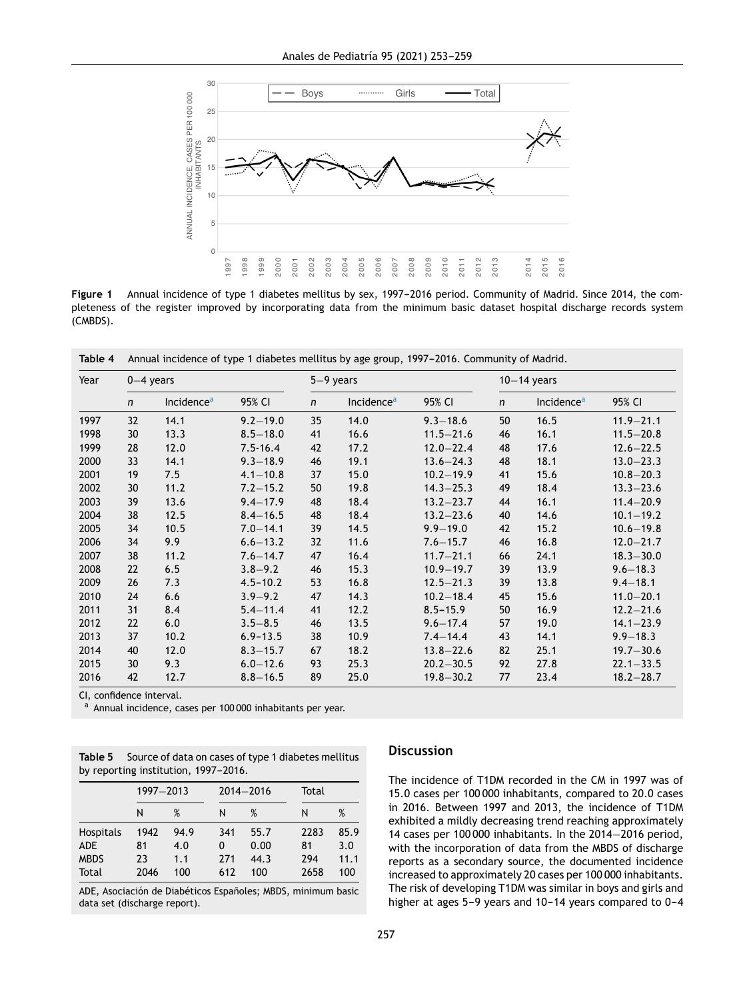<span id="page-4-0"></span>

Figure 1 Annual incidence of type 1 diabetes mellitus by sex, 1997-2016 period. Community of Madrid. Since 2014, the completeness of the register improved by incorporating data from the minimum basic dataset hospital discharge records system (CMBDS).

Table 4 Annual incidence of type 1 diabetes mellitus by age group, 1997-2016. Community of Madrid.

| Year | $0-4$ years  |                        |              |              | $5-9$ years            |               |              | $10-14$ years          |               |  |
|------|--------------|------------------------|--------------|--------------|------------------------|---------------|--------------|------------------------|---------------|--|
|      | $\mathsf{n}$ | Incidence <sup>a</sup> | 95% CI       | $\mathsf{n}$ | Incidence <sup>a</sup> | 95% CI        | $\mathsf{n}$ | Incidence <sup>a</sup> | 95% CI        |  |
| 1997 | 32           | 14.1                   | $9.2 - 19.0$ | 35           | 14.0                   | $9.3 - 18.6$  | 50           | 16.5                   | $11.9 - 21.1$ |  |
| 1998 | 30           | 13.3                   | $8.5 - 18.0$ | 41           | 16.6                   | $11.5 - 21.6$ | 46           | 16.1                   | $11.5 - 20.8$ |  |
| 1999 | 28           | 12.0                   | $7.5 - 16.4$ | 42           | 17.2                   | $12.0 - 22.4$ | 48           | 17.6                   | $12.6 - 22.5$ |  |
| 2000 | 33           | 14.1                   | $9.3 - 18.9$ | 46           | 19.1                   | $13.6 - 24.3$ | 48           | 18.1                   | $13.0 - 23.3$ |  |
| 2001 | 19           | 7.5                    | $4.1 - 10.8$ | 37           | 15.0                   | $10.2 - 19.9$ | 41           | 15.6                   | $10.8 - 20.3$ |  |
| 2002 | 30           | 11.2                   | $7.2 - 15.2$ | 50           | 19.8                   | $14.3 - 25.3$ | 49           | 18.4                   | $13.3 - 23.6$ |  |
| 2003 | 39           | 13.6                   | $9.4 - 17.9$ | 48           | 18.4                   | $13.2 - 23.7$ | 44           | 16.1                   | $11.4 - 20.9$ |  |
| 2004 | 38           | 12.5                   | $8.4 - 16.5$ | 48           | 18.4                   | $13.2 - 23.6$ | 40           | 14.6                   | $10.1 - 19.2$ |  |
| 2005 | 34           | 10.5                   | $7.0 - 14.1$ | 39           | 14.5                   | $9.9 - 19.0$  | 42           | 15.2                   | $10.6 - 19.8$ |  |
| 2006 | 34           | 9.9                    | $6.6 - 13.2$ | 32           | 11.6                   | $7.6 - 15.7$  | 46           | 16.8                   | $12.0 - 21.7$ |  |
| 2007 | 38           | 11.2                   | $7.6 - 14.7$ | 47           | 16.4                   | $11.7 - 21.1$ | 66           | 24.1                   | $18.3 - 30.0$ |  |
| 2008 | 22           | 6.5                    | $3.8 - 9.2$  | 46           | 15.3                   | $10.9 - 19.7$ | 39           | 13.9                   | $9.6 - 18.3$  |  |
| 2009 | 26           | 7.3                    | $4.5 - 10.2$ | 53           | 16.8                   | $12.5 - 21.3$ | 39           | 13.8                   | $9.4 - 18.1$  |  |
| 2010 | 24           | 6.6                    | $3.9 - 9.2$  | 47           | 14.3                   | $10.2 - 18.4$ | 45           | 15.6                   | $11.0 - 20.1$ |  |
| 2011 | 31           | 8.4                    | $5.4 - 11.4$ | 41           | 12.2                   | $8.5 - 15.9$  | 50           | 16.9                   | $12.2 - 21.6$ |  |
| 2012 | 22           | 6.0                    | $3.5 - 8.5$  | 46           | 13.5                   | $9.6 - 17.4$  | 57           | 19.0                   | $14.1 - 23.9$ |  |
| 2013 | 37           | 10.2                   | $6.9 - 13.5$ | 38           | 10.9                   | $7.4 - 14.4$  | 43           | 14.1                   | $9.9 - 18.3$  |  |
| 2014 | 40           | 12.0                   | $8.3 - 15.7$ | 67           | 18.2                   | $13.8 - 22.6$ | 82           | 25.1                   | $19.7 - 30.6$ |  |
| 2015 | 30           | 9.3                    | $6.0 - 12.6$ | 93           | 25.3                   | $20.2 - 30.5$ | 92           | 27.8                   | $22.1 - 33.5$ |  |
| 2016 | 42           | 12.7                   | $8.8 - 16.5$ | 89           | 25.0                   | $19.8 - 30.2$ | 77           | 23.4                   | $18.2 - 28.7$ |  |

CI, confidence interval.

Annual incidence, cases per 100 000 inhabitants per year.

**Table 5** Source of data on cases of type 1 diabetes mellitus by reporting institution, 1997-2016.

|                                                 | 1997-2013                |                           |                        | $2014 - 2016$               | Total                     |                            |  |
|-------------------------------------------------|--------------------------|---------------------------|------------------------|-----------------------------|---------------------------|----------------------------|--|
|                                                 | N                        | %                         | N                      | %                           | N                         | %                          |  |
| <b>Hospitals</b><br>ADE<br><b>MBDS</b><br>Total | 1942<br>81<br>23<br>2046 | 94.9<br>4.0<br>1.1<br>100 | 341<br>0<br>271<br>612 | 55.7<br>0.00<br>44.3<br>100 | 2283<br>81<br>294<br>2658 | 85.9<br>3.0<br>11.1<br>100 |  |

ADE, Asociación de Diabéticos Españoles; MBDS, minimum basic data set (discharge report).

#### **Discussion**

The incidence of T1DM recorded in the CM in 1997 was of 15.0 cases per 100 000 inhabitants, compared to 20.0 cases in 2016. Between 1997 and 2013, the incidence of T1DM exhibited a mildly decreasing trend reaching approximately 14 cases per 100 000 inhabitants. In the 2014-2016 period, with the incorporation of data from the MBDS of discharge reports as a secondary source, the documented incidence increased to approximately 20 cases per 100 000 inhabitants. The risk of developing T1DM was similar in boys and girls and higher at ages  $5-9$  years and  $10-14$  years compared to  $0-4$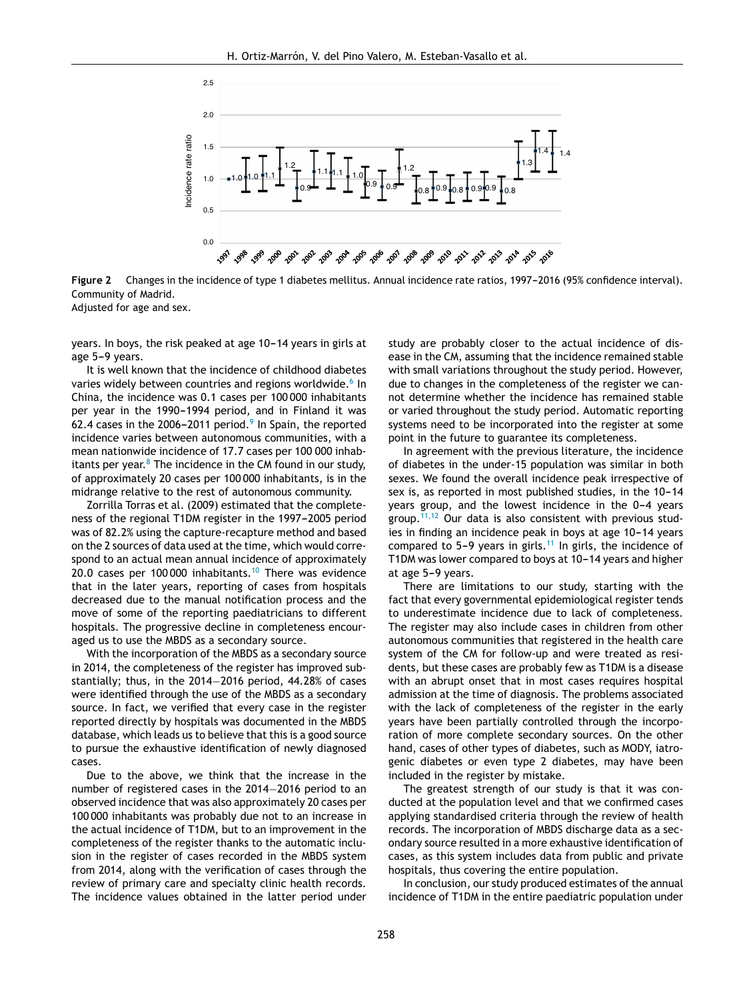<span id="page-5-0"></span>

Figure 2 Changes in the incidence of type 1 diabetes mellitus. Annual incidence rate ratios, 1997-2016 (95% confidence interval). Community of Madrid.

Adjusted for age and sex.

years. In boys, the risk peaked at age 10-14 years in girls at age 5-9 years.

It is well known that the incidence of childhood diabetes varies widely between countries and regions worldwide.<sup>6</sup> [In](#page-6-0) China, the incidence was 0.1 cases per 100 000 inhabitants per year in the 1990-1994 period, and in Finland it was 62.4 cases in the 2006–2011 period. $9$  [In](#page-6-0) Spain, the reported incidence varies between autonomous communities, with a mean nationwide incidence of 17.7 cases per 100 000 inhabitants per year. $8$  [T](#page-6-0)he incidence in the CM found in our study, of approximately 20 cases per 100 000 inhabitants, is in the midrange relative to the rest of autonomous community.

Zorrilla Torras et al. (2009) estimated that the completeness of the regional T1DM register in the 1997-2005 period was of 82.2% using the capture-recapture method and based on the 2 sources of data used at the time, which would correspond to an actual mean annual incidence of approximately 20.0 cases per [10](#page-6-0)0 000 inhabitants. $10$  There was evidence that in the later years, reporting of cases from hospitals decreased due to the manual notification process and the move of some of the reporting paediatricians to different hospitals. The progressive decline in completeness encouraged us to use the MBDS as a secondary source.

With the incorporation of the MBDS as a secondary source in 2014, the completeness of the register has improved substantially; thus, in the 2014-2016 period, 44.28% of cases were identified through the use of the MBDS as a secondary source. In fact, we verified that every case in the register reported directly by hospitals was documented in the MBDS database, which leads us to believe that this is a good source to pursue the exhaustive identification of newly diagnosed cases.

Due to the above, we think that the increase in the number of registered cases in the 2014–2016 period to an observed incidence that was also approximately 20 cases per 100 000 inhabitants was probably due not to an increase in the actual incidence of T1DM, but to an improvement in the completeness of the register thanks to the automatic inclusion in the register of cases recorded in the MBDS system from 2014, along with the verification of cases through the review of primary care and specialty clinic health records. The incidence values obtained in the latter period under study are probably closer to the actual incidence of disease in the CM, assuming that the incidence remained stable with small variations throughout the study period. However, due to changes in the completeness of the register we cannot determine whether the incidence has remained stable or varied throughout the study period. Automatic reporting systems need to be incorporated into the register at some point in the future to guarantee its completeness.

In agreement with the previous literature, the incidence of diabetes in the under-15 population was similar in both sexes. We found the overall incidence peak irrespective of sex is, as reported in most published studies, in the 10-14 years group, and the lowest incidence in the 0-4 years group.<sup>[11,12](#page-6-0)</sup> Our data is also consistent with previous studies in finding an incidence peak in boys at age 10-14 years compared to 5-9 years in girls.<sup>[11](#page-6-0)</sup> In girls, the incidence of T1DM was lower compared to boys at 10-14 years and higher at age 5-9 years.

There are limitations to our study, starting with the fact that every governmental epidemiological register tends to underestimate incidence due to lack of completeness. The register may also include cases in children from other autonomous communities that registered in the health care system of the CM for follow-up and were treated as residents, but these cases are probably few as T1DM is a disease with an abrupt onset that in most cases requires hospital admission at the time of diagnosis. The problems associated with the lack of completeness of the register in the early years have been partially controlled through the incorporation of more complete secondary sources. On the other hand, cases of other types of diabetes, such as MODY, iatrogenic diabetes or even type 2 diabetes, may have been included in the register by mistake.

The greatest strength of our study is that it was conducted at the population level and that we confirmed cases applying standardised criteria through the review of health records. The incorporation of MBDS discharge data as a secondary source resulted in a more exhaustive identification of cases, as this system includes data from public and private hospitals, thus covering the entire population.

In conclusion, our study produced estimates of the annual incidence of T1DM in the entire paediatric population under